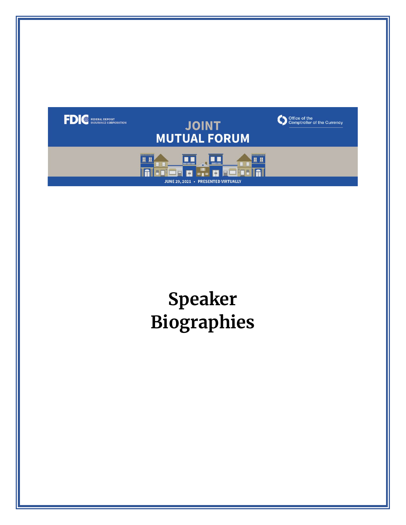

# **Biographies Speaker**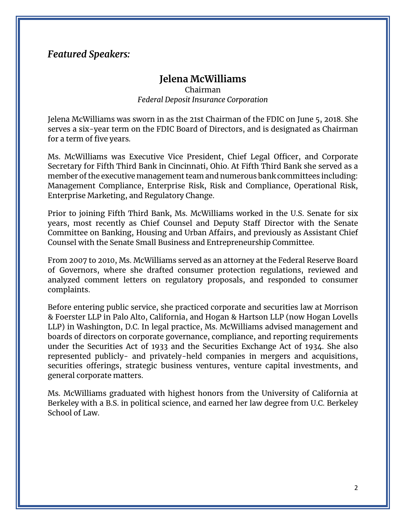# *Featured Speakers:*

# **Jelena McWilliams**

Chairman *Federal Deposit Insurance Corporation* 

 serves a six-year term on the FDIC Board of Directors, and is designated as Chairman for a term of five years. Jelena McWilliams was sworn in as the 21st Chairman of the FDIC on June 5, 2018. She

 Ms. McWilliams was Executive Vice President, Chief Legal Officer, and Corporate Secretary for Fifth Third Bank in Cincinnati, Ohio. At Fifth Third Bank she served as a Management Compliance, Enterprise Risk, Risk and Compliance, Operational Risk, member of the executive management team and numerous bank committees including: Enterprise Marketing, and Regulatory Change.

Prior to joining Fifth Third Bank, Ms. McWilliams worked in the U.S. Senate for six years, most recently as Chief Counsel and Deputy Staff Director with the Senate Committee on Banking, Housing and Urban Affairs, and previously as Assistant Chief Counsel with the Senate Small Business and Entrepreneurship Committee.

 analyzed comment letters on regulatory proposals, and responded to consumer From 2007 to 2010, Ms. McWilliams served as an attorney at the Federal Reserve Board of Governors, where she drafted consumer protection regulations, reviewed and complaints.

 Before entering public service, she practiced corporate and securities law at Morrison & Foerster LLP in Palo Alto, California, and Hogan & Hartson LLP (now Hogan Lovells under the Securities Act of 1933 and the Securities Exchange Act of 1934. She also represented publicly- and privately-held companies in mergers and acquisitions, securities offerings, strategic business ventures, venture capital investments, and LLP) in Washington, D.C. In legal practice, Ms. McWilliams advised management and boards of directors on corporate governance, compliance, and reporting requirements general corporate matters.

 Berkeley with a B.S. in political science, and earned her law degree from U.C. Berkeley Ms. McWilliams graduated with highest honors from the University of California at School of Law.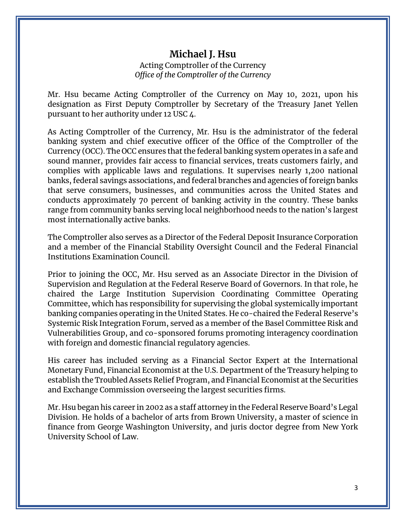# **Michael J. Hsu**

#### Acting Comptroller of the Currency *Office of the Comptroller of the Currency*

 designation as First Deputy Comptroller by Secretary of the Treasury Janet Yellen Mr. Hsu became Acting Comptroller of the Currency on May 10, 2021, upon his pursuant to her authority under 12 USC 4.

 banking system and chief executive officer of the Office of the Comptroller of the Currency (OCC). The OCC ensures that the federal banking system operates in a safe and complies with applicable laws and regulations. It supervises nearly 1,200 national As Acting Comptroller of the Currency, Mr. Hsu is the administrator of the federal sound manner, provides fair access to financial services, treats customers fairly, and banks, federal savings associations, and federal branches and agencies of foreign banks that serve consumers, businesses, and communities across the United States and conducts approximately 70 percent of banking activity in the country. These banks range from community banks serving local neighborhood needs to the nation's largest most internationally active banks.

 and a member of the Financial Stability Oversight Council and the Federal Financial The Comptroller also serves as a Director of the Federal Deposit Insurance Corporation Institutions Examination Council.

 Supervision and Regulation at the Federal Reserve Board of Governors. In that role, he banking companies operating in the United States. He co-chaired the Federal Reserve's Systemic Risk Integration Forum, served as a member of the Basel Committee Risk and Prior to joining the OCC, Mr. Hsu served as an Associate Director in the Division of chaired the Large Institution Supervision Coordinating Committee Operating Committee, which has responsibility for supervising the global systemically important Vulnerabilities Group, and co-sponsored forums promoting interagency coordination with foreign and domestic financial regulatory agencies.

 His career has included serving as a Financial Sector Expert at the International establish the Troubled Assets Relief Program, and Financial Economist at the Securities Monetary Fund, Financial Economist at the U.S. Department of the Treasury helping to and Exchange Commission overseeing the largest securities firms.

 Division. He holds of a bachelor of arts from Brown University, a master of science in Mr. Hsu began his career in 2002 as a staff attorney in the Federal Reserve Board's Legal finance from George Washington University, and juris doctor degree from New York University School of Law.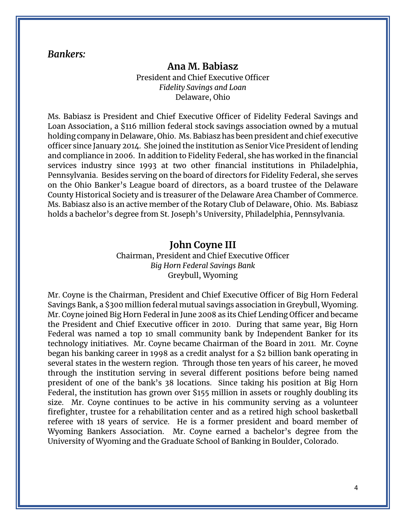#### *Bankers:*

# **Ana M. Babiasz**

President and Chief Executive Officer *Fidelity Savings and Loan*  Delaware, Ohio

 Loan Association, a \$116 million federal stock savings association owned by a mutual officer since January 2014. She joined the institution as Senior Vice President of lending and compliance in 2006. In addition to Fidelity Federal, she has worked in the financial on the Ohio Banker's League board of directors, as a board trustee of the Delaware County Historical Society and is treasurer of the Delaware Area Chamber of Commerce. County Historical Society and is treasurer of the Delaware Area Chamber of Commerce.<br>Ms. Babiasz also is an active member of the Rotary Club of Delaware, Ohio. Ms. Babiasz Ms. Babiasz is President and Chief Executive Officer of Fidelity Federal Savings and holding company in Delaware, Ohio. Ms. Babiasz has been president and chief executive services industry since 1993 at two other financial institutions in Philadelphia, Pennsylvania. Besides serving on the board of directors for Fidelity Federal, she serves holds a bachelor's degree from St. Joseph's University, Philadelphia, Pennsylvania.

#### **John Coyne III**

 Chairman, President and Chief Executive Officer *Big Horn Federal Savings Bank*  Greybull, Wyoming

 Mr. Coyne joined Big Horn Federal in June 2008 as its Chief Lending Officer and became technology initiatives. Mr. Coyne became Chairman of the Board in 2011. Mr. Coyne began his banking career in 1998 as a credit analyst for a \$2 billion bank operating in several states in the western region. Through those ten years of his career, he moved president of one of the bank's 38 locations. Since taking his position at Big Horn Federal, the institution has grown over \$155 million in assets or roughly doubling its size. Mr. Coyne continues to be active in his community serving as a volunteer firefighter, trustee for a rehabilitation center and as a retired high school basketball referee with 18 years of service. He is a former president and board member of Mr. Coyne is the Chairman, President and Chief Executive Officer of Big Horn Federal Savings Bank, a \$300 million federal mutual savings association in Greybull, Wyoming. the President and Chief Executive officer in 2010. During that same year, Big Horn Federal was named a top 10 small community bank by Independent Banker for its through the institution serving in several different positions before being named Wyoming Bankers Association. Mr. Coyne earned a bachelor's degree from the University of Wyoming and the Graduate School of Banking in Boulder, Colorado.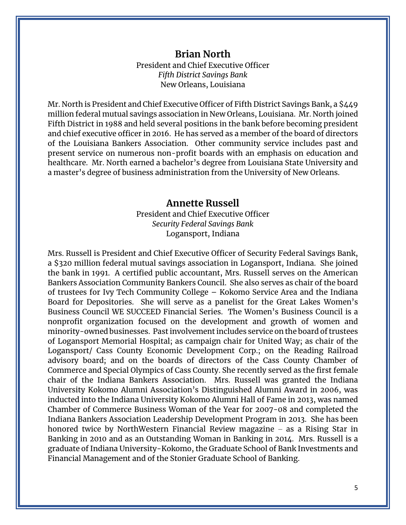# **Brian North**

President and Chief Executive Officer *Fifth District Savings Bank*  New Orleans, Louisiana

 Mr. North is President and Chief Executive Officer of Fifth District Savings Bank, a \$449 million federal mutual savings association in New Orleans, Louisiana. Mr. North joined Fifth District in 1988 and held several positions in the bank before becoming president of the Louisiana Bankers Association. Other community service includes past and healthcare. Mr. North earned a bachelor's degree from Louisiana State University and a master's degree of business administration from the University of New Orleans. and chief executive officer in 2016. He has served as a member of the board of directors present service on numerous non-profit boards with an emphasis on education and

#### **Annette Russell**

President and Chief Executive Officer *Security Federal Savings Bank*  Logansport, Indiana

 a \$320 million federal mutual savings association in Logansport, Indiana. She joined the bank in 1991. A certified public accountant, Mrs. Russell serves on the American Bankers Association Community Bankers Council. She also serves as chair of the board of trustees for Ivy Tech Community College – Kokomo Service Area and the Indiana Board for Depositories. She will serve as a panelist for the Great Lakes Women's Business Council WE SUCCEED Financial Series. The Women's Business Council is a minority-owned businesses. Past involvement includes service on the board of trustees of Logansport Memorial Hospital; as campaign chair for United Way; as chair of the Logansport/ Cass County Economic Development Corp.; on the Reading Railroad advisory board; and on the boards of directors of the Cass County Chamber of chair of the Indiana Bankers Association. Mrs. Russell was granted the Indiana Chamber of Commerce Business Woman of the Year for 2007-08 and completed the honored twice by NorthWestern Financial Review magazine – as a Rising Star in Banking in 2010 and as an Outstanding Woman in Banking in 2014. Mrs. Russell is a graduate of Indiana University-Kokomo, the Graduate School of Bank Investments and Mrs. Russell is President and Chief Executive Officer of Security Federal Savings Bank, nonprofit organization focused on the development and growth of women and Commerce and Special Olympics of Cass County. She recently served as the first female University Kokomo Alumni Association's Distinguished Alumni Award in 2006, was inducted into the Indiana University Kokomo Alumni Hall of Fame in 2013, was named Indiana Bankers Association Leadership Development Program in 2013. She has been Financial Management and of the Stonier Graduate School of Banking.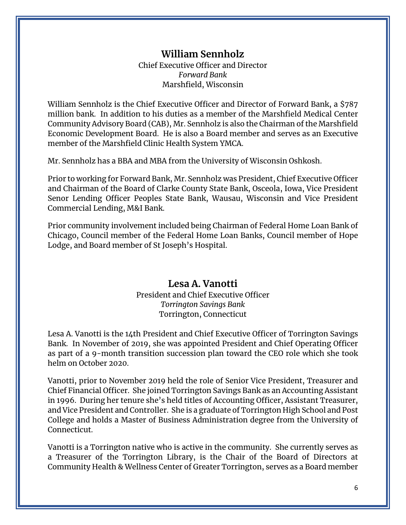#### *Forward Bank*  **William Sennholz**  Chief Executive Officer and Director Marshfield, Wisconsin

 William Sennholz is the Chief Executive Officer and Director of Forward Bank, a \$787 million bank. In addition to his duties as a member of the Marshfield Medical Center Community Advisory Board (CAB), Mr. Sennholz is also the Chairman of the Marshfield Economic Development Board. He is also a Board member and serves as an Executive member of the Marshfield Clinic Health System YMCA.

Mr. Sennholz has a BBA and MBA from the University of Wisconsin Oshkosh.

 Prior to working for Forward Bank, Mr. Sennholz was President, Chief Executive Officer and Chairman of the Board of Clarke County State Bank, Osceola, Iowa, Vice President Senor Lending Officer Peoples State Bank, Wausau, Wisconsin and Vice President Commercial Lending, M&I Bank.

Prior community involvement included being Chairman of Federal Home Loan Bank of Chicago, Council member of the Federal Home Loan Banks, Council member of Hope Lodge, and Board member of St Joseph's Hospital.

#### **Lesa A. Vanotti**  President and Chief Executive Officer *Torrington Savings Bank*  Torrington, Connecticut

 Lesa A. Vanotti is the 14th President and Chief Executive Officer of Torrington Savings Bank. In November of 2019, she was appointed President and Chief Operating Officer as part of a 9-month transition succession plan toward the CEO role which she took helm on October 2020.

 Vanotti, prior to November 2019 held the role of Senior Vice President, Treasurer and Chief Financial Officer. She joined Torrington Savings Bank as an Accounting Assistant and Vice President and Controller. She is a graduate of Torrington High School and Post College and holds a Master of Business Administration degree from the University of in 1996. During her tenure she's held titles of Accounting Officer, Assistant Treasurer, Connecticut.

 Vanotti is a Torrington native who is active in the community. She currently serves as a Treasurer of the Torrington Library, is the Chair of the Board of Directors at Community Health & Wellness Center of Greater Torrington, serves as a Board member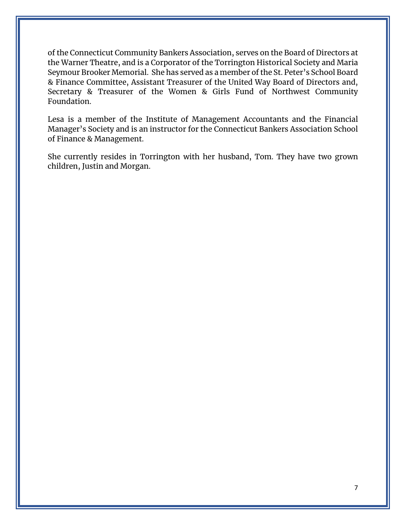the Warner Theatre, and is a Corporator of the Torrington Historical Society and Maria of the Connecticut Community Bankers Association, serves on the Board of Directors at Seymour Brooker Memorial. She has served as a member of the St. Peter's School Board & Finance Committee, Assistant Treasurer of the United Way Board of Directors and, Secretary & Treasurer of the Women & Girls Fund of Northwest Community Foundation.

 Lesa is a member of the Institute of Management Accountants and the Financial Manager's Society and is an instructor for the Connecticut Bankers Association School of Finance & Management.

 She currently resides in Torrington with her husband, Tom. They have two grown children, Justin and Morgan.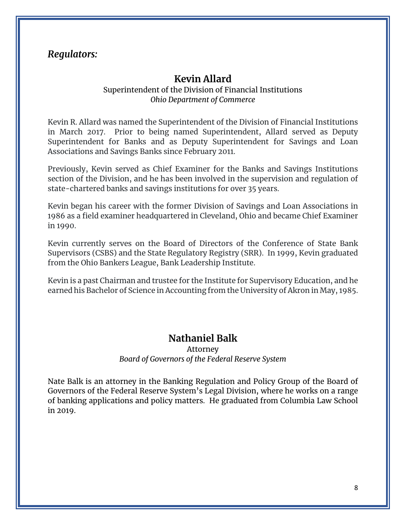## *Regulators:*

## **Kevin Allard**

#### Superintendent of the Division of Financial Institutions *Ohio Department of Commerce*

 Kevin R. Allard was named the Superintendent of the Division of Financial Institutions in March 2017. Prior to being named Superintendent, Allard served as Deputy Superintendent for Banks and as Deputy Superintendent for Savings and Loan Associations and Savings Banks since February 2011.

 Previously, Kevin served as Chief Examiner for the Banks and Savings Institutions section of the Division, and he has been involved in the supervision and regulation of state-chartered banks and savings institutions for over 35 years.

 Kevin began his career with the former Division of Savings and Loan Associations in 1986 as a field examiner headquartered in Cleveland, Ohio and became Chief Examiner in 1990.

 Supervisors (CSBS) and the State Regulatory Registry (SRR). In 1999, Kevin graduated Kevin currently serves on the Board of Directors of the Conference of State Bank from the Ohio Bankers League, Bank Leadership Institute.

 Kevin is a past Chairman and trustee for the Institute for Supervisory Education, and he earned his Bachelor of Science in Accounting from the University of Akron in May, 1985.

# **Nathaniel Balk**

#### *Board of Governors of the Federal Reserve System*  Attorney

 Nate Balk is an attorney in the Banking Regulation and Policy Group of the Board of of banking applications and policy matters. He graduated from Columbia Law School Governors of the Federal Reserve System's Legal Division, where he works on a range in 2019.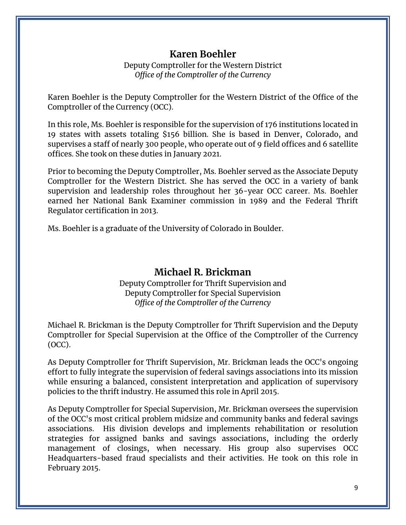# **Karen Boehler**

Deputy Comptroller for the Western District *Office of the Comptroller of the Currency* 

 Karen Boehler is the Deputy Comptroller for the Western District of the Office of the Comptroller of the Currency (OCC).

 In this role, Ms. Boehler is responsible for the supervision of 176 institutions located in 19 states with assets totaling \$156 billion. She is based in Denver, Colorado, and supervises a staff of nearly 300 people, who operate out of 9 field offices and 6 satellite offices. She took on these duties in January 2021.

 Prior to becoming the Deputy Comptroller, Ms. Boehler served as the Associate Deputy Comptroller for the Western District. She has served the OCC in a variety of bank supervision and leadership roles throughout her 36-year OCC career. Ms. Boehler earned her National Bank Examiner commission in 1989 and the Federal Thrift Regulator certification in 2013.

Ms. Boehler is a graduate of the University of Colorado in Boulder.

## **Michael R. Brickman**

Deputy Comptroller for Thrift Supervision and Deputy Comptroller for Special Supervision *Office of the Comptroller of the Currency* 

 Michael R. Brickman is the Deputy Comptroller for Thrift Supervision and the Deputy Comptroller for Special Supervision at the Office of the Comptroller of the Currency (OCC).

As Deputy Comptroller for Thrift Supervision, Mr. Brickman leads the OCC's ongoing effort to fully integrate the supervision of federal savings associations into its mission while ensuring a balanced, consistent interpretation and application of supervisory policies to the thrift industry. He assumed this role in April 2015.

 of the OCC's most critical problem midsize and community banks and federal savings associations. His division develops and implements rehabilitation or resolution Headquarters-based fraud specialists and their activities. He took on this role in As Deputy Comptroller for Special Supervision, Mr. Brickman oversees the supervision strategies for assigned banks and savings associations, including the orderly management of closings, when necessary. His group also supervises OCC February 2015.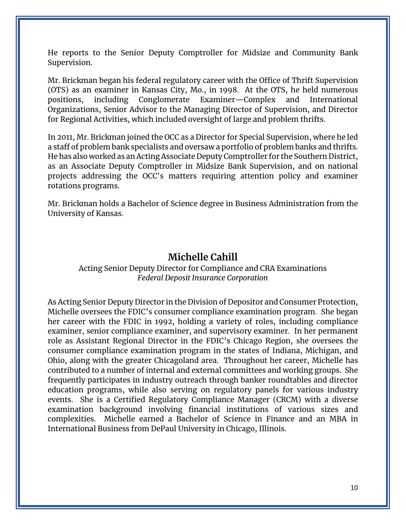He reports to the Senior Deputy Comptroller for Midsize and Community Bank Supervision.

 (OTS) as an examiner in Kansas City, Mo., in 1998. At the OTS, he held numerous Organizations, Senior Advisor to the Managing Director of Supervision, and Director for Regional Activities, which included oversight of large and problem thrifts. Mr. Brickman began his federal regulatory career with the Office of Thrift Supervision positions, including Conglomerate Examiner—Complex and International

 In 2011, Mr. Brickman joined the OCC as a Director for Special Supervision, where he led a staff of problem bank specialists and oversaw a portfolio of problem banks and thrifts. He has also worked as an Acting Associate Deputy Comptroller for the Southern District, as an Associate Deputy Comptroller in Midsize Bank Supervision, and on national projects addressing the OCC's matters requiring attention policy and examiner rotations programs.

Mr. Brickman holds a Bachelor of Science degree in Business Administration from the University of Kansas.

## **Michelle Cahill**

Acting Senior Deputy Director for Compliance and CRA Examinations *Federal Deposit Insurance Corporation* 

 As Acting Senior Deputy Director in the Division of Depositor and Consumer Protection, her career with the FDIC in 1992, holding a variety of roles, including compliance examiner, senior compliance examiner, and supervisory examiner. In her permanent consumer compliance examination program in the states of Indiana, Michigan, and Ohio, along with the greater Chicagoland area. Throughout her career, Michelle has contributed to a number of internal and external committees and working groups. She events. She is a Certified Regulatory Compliance Manager (CRCM) with a diverse complexities. Michelle earned a Bachelor of Science in Finance and an MBA in Michelle oversees the FDIC's consumer compliance examination program. She began role as Assistant Regional Director in the FDIC's Chicago Region, she oversees the frequently participates in industry outreach through banker roundtables and director education programs, while also serving on regulatory panels for various industry examination background involving financial institutions of various sizes and International Business from DePaul University in Chicago, Illinois.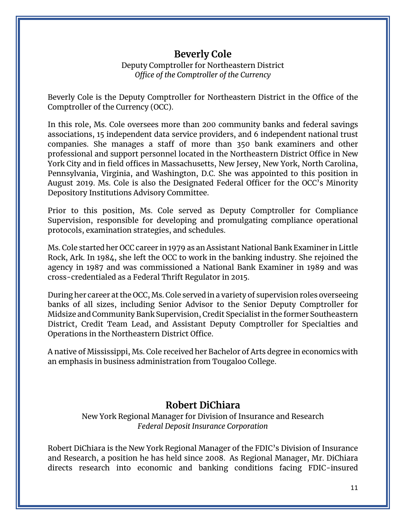# **Beverly Cole**

#### Deputy Comptroller for Northeastern District *Office of the Comptroller of the Currency*

 Beverly Cole is the Deputy Comptroller for Northeastern District in the Office of the Comptroller of the Currency (OCC).

 In this role, Ms. Cole oversees more than 200 community banks and federal savings associations, 15 independent data service providers, and 6 independent national trust professional and support personnel located in the Northeastern District Office in New companies. She manages a staff of more than 350 bank examiners and other York City and in field offices in Massachusetts, New Jersey, New York, North Carolina, Pennsylvania, Virginia, and Washington, D.C. She was appointed to this position in August 2019. Ms. Cole is also the Designated Federal Officer for the OCC's Minority Depository Institutions Advisory Committee.

Prior to this position, Ms. Cole served as Deputy Comptroller for Compliance Supervision, responsible for developing and promulgating compliance operational protocols, examination strategies, and schedules.

 Ms. Cole started her OCC career in 1979 as an Assistant National Bank Examiner in Little Rock, Ark. In 1984, she left the OCC to work in the banking industry. She rejoined the agency in 1987 and was commissioned a National Bank Examiner in 1989 and was cross-credentialed as a Federal Thrift Regulator in 2015.

 During her career at the OCC, Ms. Cole served in a variety of supervision roles overseeing banks of all sizes, including Senior Advisor to the Senior Deputy Comptroller for District, Credit Team Lead, and Assistant Deputy Comptroller for Specialties and Midsize and Community Bank Supervision, Credit Specialist in the former Southeastern Operations in the Northeastern District Office.

 A native of Mississippi, Ms. Cole received her Bachelor of Arts degree in economics with an emphasis in business administration from Tougaloo College.

# **Robert DiChiara**

New York Regional Manager for Division of Insurance and Research *Federal Deposit Insurance Corporation* 

 and Research, a position he has held since 2008. As Regional Manager, Mr. DiChiara Robert DiChiara is the New York Regional Manager of the FDIC's Division of Insurance directs research into economic and banking conditions facing FDIC-insured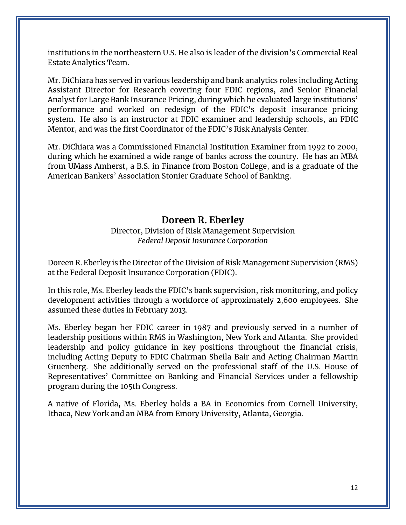institutions in the northeastern U.S. He also is leader of the division's Commercial Real Estate Analytics Team.

 Mr. DiChiara has served in various leadership and bank analytics roles including Acting Assistant Director for Research covering four FDIC regions, and Senior Financial Analyst for Large Bank Insurance Pricing, during which he evaluated large institutions' system. He also is an instructor at FDIC examiner and leadership schools, an FDIC performance and worked on redesign of the FDIC's deposit insurance pricing Mentor, and was the first Coordinator of the FDIC's Risk Analysis Center.

 Mr. DiChiara was a Commissioned Financial Institution Examiner from 1992 to 2000, during which he examined a wide range of banks across the country. He has an MBA from UMass Amherst, a B.S. in Finance from Boston College, and is a graduate of the American Bankers' Association Stonier Graduate School of Banking.

## **Doreen R. Eberley**

Director, Division of Risk Management Supervision *Federal Deposit Insurance Corporation* 

 at the Federal Deposit Insurance Corporation (FDIC). Doreen R. Eberley is the Director of the Division of Risk Management Supervision (RMS)

 development activities through a workforce of approximately 2,600 employees. She In this role, Ms. Eberley leads the FDIC's bank supervision, risk monitoring, and policy assumed these duties in February 2013.

 leadership positions within RMS in Washington, New York and Atlanta. She provided including Acting Deputy to FDIC Chairman Sheila Bair and Acting Chairman Martin Gruenberg. She additionally served on the professional staff of the U.S. House of Ms. Eberley began her FDIC career in 1987 and previously served in a number of leadership and policy guidance in key positions throughout the financial crisis, Representatives' Committee on Banking and Financial Services under a fellowship program during the 105th Congress.

 A native of Florida, Ms. Eberley holds a BA in Economics from Cornell University, Ithaca, New York and an MBA from Emory University, Atlanta, Georgia.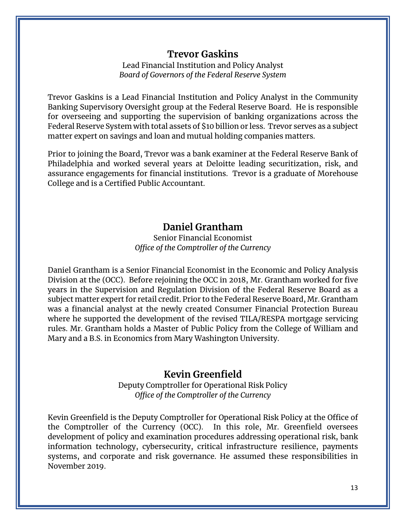# **Trevor Gaskins**

 *Board of Governors of the Federal Reserve System*  Lead Financial Institution and Policy Analyst

 Banking Supervisory Oversight group at the Federal Reserve Board. He is responsible Federal Reserve System with total assets of \$10 billion or less. Trevor serves as a subject matter expert on savings and loan and mutual holding companies matters. Trevor Gaskins is a Lead Financial Institution and Policy Analyst in the Community for overseeing and supporting the supervision of banking organizations across the

 Philadelphia and worked several years at Deloitte leading securitization, risk, and assurance engagements for financial institutions. Trevor is a graduate of Morehouse College and is a Certified Public Accountant. Prior to joining the Board, Trevor was a bank examiner at the Federal Reserve Bank of

# **Daniel Grantham**

#### Senior Financial Economist *Office of the Comptroller of the Currency*

 Division at the (OCC). Before rejoining the OCC in 2018, Mr. Grantham worked for five years in the Supervision and Regulation Division of the Federal Reserve Board as a Daniel Grantham is a Senior Financial Economist in the Economic and Policy Analysis subject matter expert for retail credit. Prior to the Federal Reserve Board, Mr. Grantham was a financial analyst at the newly created Consumer Financial Protection Bureau where he supported the development of the revised TILA/RESPA mortgage servicing rules. Mr. Grantham holds a Master of Public Policy from the College of William and Mary and a B.S. in Economics from Mary Washington University.

## **Kevin Greenfield**

 Deputy Comptroller for Operational Risk Policy *Office of the Comptroller of the Currency* 

 Kevin Greenfield is the Deputy Comptroller for Operational Risk Policy at the Office of the Comptroller of the Currency (OCC). In this role, Mr. Greenfield oversees information technology, cybersecurity, critical infrastructure resilience, payments development of policy and examination procedures addressing operational risk, bank systems, and corporate and risk governance. He assumed these responsibilities in November 2019.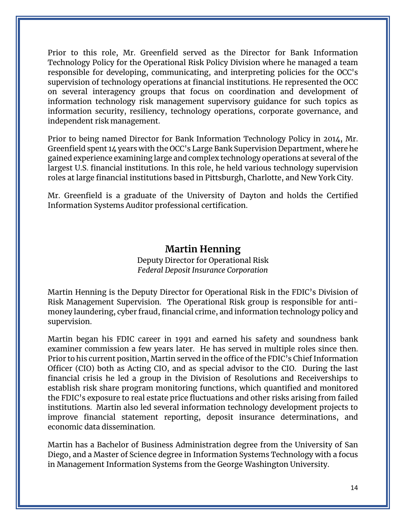Technology Policy for the Operational Risk Policy Division where he managed a team responsible for developing, communicating, and interpreting policies for the OCC's information security, resiliency, technology operations, corporate governance, and Prior to this role, Mr. Greenfield served as the Director for Bank Information supervision of technology operations at financial institutions. He represented the OCC on several interagency groups that focus on coordination and development of information technology risk management supervisory guidance for such topics as independent risk management.

 Greenfield spent 14 years with the OCC's Large Bank Supervision Department, where he roles at large financial institutions based in Pittsburgh, Charlotte, and New York City. Prior to being named Director for Bank Information Technology Policy in 2014, Mr. gained experience examining large and complex technology operations at several of the largest U.S. financial institutions. In this role, he held various technology supervision

 Mr. Greenfield is a graduate of the University of Dayton and holds the Certified Information Systems Auditor professional certification.

## **Martin Henning**

#### Deputy Director for Operational Risk *Federal Deposit Insurance Corporation*

 money laundering, cyber fraud, financial crime, and information technology policy and Martin Henning is the Deputy Director for Operational Risk in the FDIC's Division of Risk Management Supervision. The Operational Risk group is responsible for antisupervision.

 examiner commission a few years later. He has served in multiple roles since then. Officer (CIO) both as Acting CIO, and as special advisor to the CIO. During the last establish risk share program monitoring functions, which quantified and monitored improve financial statement reporting, deposit insurance determinations, and Martin began his FDIC career in 1991 and earned his safety and soundness bank Prior to his current position, Martin served in the office of the FDIC's Chief Information financial crisis he led a group in the Division of Resolutions and Receiverships to the FDIC's exposure to real estate price fluctuations and other risks arising from failed institutions. Martin also led several information technology development projects to economic data dissemination.

 Martin has a Bachelor of Business Administration degree from the University of San Diego, and a Master of Science degree in Information Systems Technology with a focus in Management Information Systems from the George Washington University.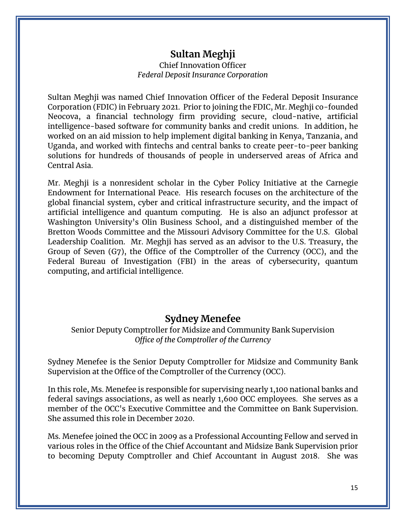# **Sultan Meghji**

#### Chief Innovation Officer *Federal Deposit Insurance Corporation*

 Sultan Meghji was named Chief Innovation Officer of the Federal Deposit Insurance intelligence-based software for community banks and credit unions. In addition, he worked on an aid mission to help implement digital banking in Kenya, Tanzania, and Corporation (FDIC) in February 2021. Prior to joining the FDIC, Mr. Meghji co-founded Neocova, a financial technology firm providing secure, cloud-native, artificial Uganda, and worked with fintechs and central banks to create peer-to-peer banking solutions for hundreds of thousands of people in underserved areas of Africa and Central Asia.

 global financial system, cyber and critical infrastructure security, and the impact of artificial intelligence and quantum computing. He is also an adjunct professor at Washington University's Olin Business School, and a distinguished member of the Bretton Woods Committee and the Missouri Advisory Committee for the U.S. Global Mr. Meghji is a nonresident scholar in the Cyber Policy Initiative at the Carnegie Endowment for International Peace. His research focuses on the architecture of the Leadership Coalition. Mr. Meghji has served as an advisor to the U.S. Treasury, the Group of Seven (G7), the Office of the Comptroller of the Currency (OCC), and the Federal Bureau of Investigation (FBI) in the areas of cybersecurity, quantum computing, and artificial intelligence.

## **Sydney Menefee**

Senior Deputy Comptroller for Midsize and Community Bank Supervision *Office of the Comptroller of the Currency* 

Sydney Menefee is the Senior Deputy Comptroller for Midsize and Community Bank Supervision at the Office of the Comptroller of the Currency (OCC).

 federal savings associations, as well as nearly 1,600 OCC employees. She serves as a In this role, Ms. Menefee is responsible for supervising nearly 1,100 national banks and member of the OCC's Executive Committee and the Committee on Bank Supervision. She assumed this role in December 2020.

 various roles in the Office of the Chief Accountant and Midsize Bank Supervision prior to becoming Deputy Comptroller and Chief Accountant in August 2018. She was Ms. Menefee joined the OCC in 2009 as a Professional Accounting Fellow and served in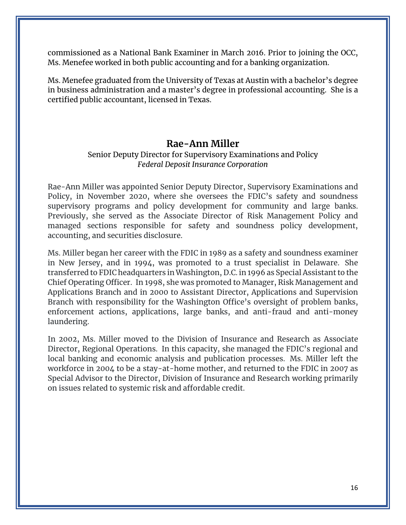commissioned as a National Bank Examiner in March 2016. Prior to joining the OCC, Ms. Menefee worked in both public accounting and for a banking organization.

 Ms. Menefee graduated from the University of Texas at Austin with a bachelor's degree in business administration and a master's degree in professional accounting. She is a certified public accountant, licensed in Texas.

#### **Rae-Ann Miller**

#### Senior Deputy Director for Supervisory Examinations and Policy *Federal Deposit Insurance Corporation*

supervisory programs and policy development for community and large banks. accounting, and securities disclosure. Rae-Ann Miller was appointed Senior Deputy Director, Supervisory Examinations and Policy, in November 2020, where she oversees the FDIC's safety and soundness Previously, she served as the Associate Director of Risk Management Policy and managed sections responsible for safety and soundness policy development,

 in New Jersey, and in 1994, was promoted to a trust specialist in Delaware. She Chief Operating Officer. In 1998, she was promoted to Manager, Risk Management and Branch with responsibility for the Washington Office's oversight of problem banks, enforcement actions, applications, large banks, and anti-fraud and anti-money laundering. Ms. Miller began her career with the FDIC in 1989 as a safety and soundness examiner transferred to FDIC headquarters in Washington, D.C. in 1996 as Special Assistant to the Applications Branch and in 2000 to Assistant Director, Applications and Supervision

 Director, Regional Operations. In this capacity, she managed the FDIC's regional and local banking and economic analysis and publication processes. Ms. Miller left the workforce in 2004 to be a stay-at-home mother, and returned to the FDIC in 2007 as Special Advisor to the Director, Division of Insurance and Research working primarily on issues related to systemic risk and affordable credit. In 2002, Ms. Miller moved to the Division of Insurance and Research as Associate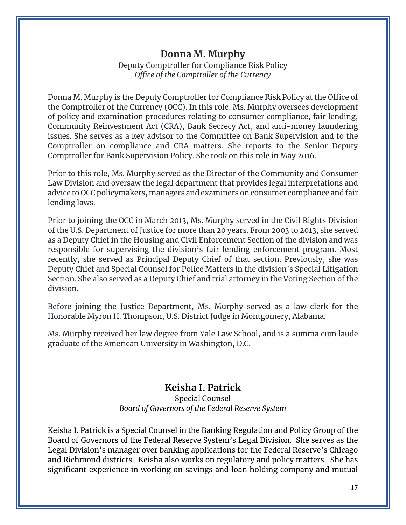# **Donna M. Murphy**

Deputy Comptroller for Compliance Risk Policy *Office of the Comptroller of the Currency* 

 Donna M. Murphy is the Deputy Comptroller for Compliance Risk Policy at the Office of Community Reinvestment Act (CRA), Bank Secrecy Act, and anti-money laundering Comptroller on compliance and CRA matters. She reports to the Senior Deputy Comptroller for Bank Supervision Policy. She took on this role in May 2016. the Comptroller of the Currency (OCC). In this role, Ms. Murphy oversees development of policy and examination procedures relating to consumer compliance, fair lending, issues. She serves as a key advisor to the Committee on Bank Supervision and to the

 advice to OCC policymakers, managers and examiners on consumer compliance and fair Prior to this role, Ms. Murphy served as the Director of the Community and Consumer Law Division and oversaw the legal department that provides legal interpretations and lending laws.

 recently, she served as Principal Deputy Chief of that section. Previously, she was Deputy Chief and Special Counsel for Police Matters in the division's Special Litigation Section. She also served as a Deputy Chief and trial attorney in the Voting Section of the Prior to joining the OCC in March 2013, Ms. Murphy served in the Civil Rights Division of the U.S. Department of Justice for more than 20 years. From 2003 to 2013, she served as a Deputy Chief in the Housing and Civil Enforcement Section of the division and was responsible for supervising the division's fair lending enforcement program. Most division.

 Before joining the Justice Department, Ms. Murphy served as a law clerk for the Honorable Myron H. Thompson, U.S. District Judge in Montgomery, Alabama.

 Ms. Murphy received her law degree from Yale Law School, and is a summa cum laude graduate of the American University in Washington, D.C.

# **Keisha I. Patrick**

#### *Board of Governors of the Federal Reserve System*  Special Counsel

 Keisha I. Patrick is a Special Counsel in the Banking Regulation and Policy Group of the Board of Governors of the Federal Reserve System's Legal Division. She serves as the Legal Division's manager over banking applications for the Federal Reserve's Chicago and Richmond districts. Keisha also works on regulatory and policy matters. She has significant experience in working on savings and loan holding company and mutual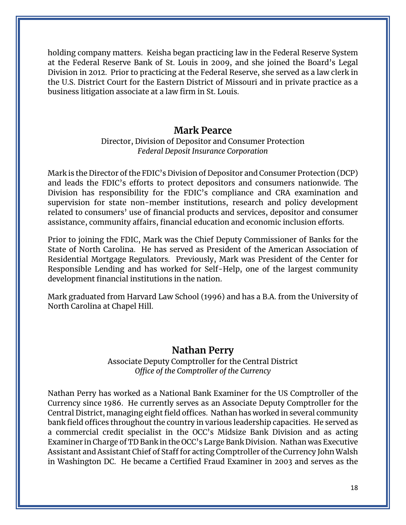at the Federal Reserve Bank of St. Louis in 2009, and she joined the Board's Legal Division in 2012. Prior to practicing at the Federal Reserve, she served as a law clerk in the U.S. District Court for the Eastern District of Missouri and in private practice as a business litigation associate at a law firm in St. Louis. holding company matters. Keisha began practicing law in the Federal Reserve System

#### **Mark Pearce**

#### Director, Division of Depositor and Consumer Protection *Federal Deposit Insurance Corporation*

 supervision for state non-member institutions, research and policy development related to consumers' use of financial products and services, depositor and consumer Mark is the Director of the FDIC's Division of Depositor and Consumer Protection (DCP) and leads the FDIC's efforts to protect depositors and consumers nationwide. The Division has responsibility for the FDIC's compliance and CRA examination and assistance, community affairs, financial education and economic inclusion efforts.

 State of North Carolina. He has served as President of the American Association of Responsible Lending and has worked for Self-Help, one of the largest community Prior to joining the FDIC, Mark was the Chief Deputy Commissioner of Banks for the Residential Mortgage Regulators. Previously, Mark was President of the Center for development financial institutions in the nation.

Mark graduated from Harvard Law School (1996) and has a B.A. from the University of North Carolina at Chapel Hill.

#### **Nathan Perry**

Associate Deputy Comptroller for the Central District *Office of the Comptroller of the Currency* 

 Currency since 1986. He currently serves as an Associate Deputy Comptroller for the Central District, managing eight field offices. Nathan has worked in several community bank field offices throughout the country in various leadership capacities. He served as a commercial credit specialist in the OCC's Midsize Bank Division and as acting Examiner in Charge of TD Bank in the OCC's Large Bank Division. Nathan was Executive Assistant and Assistant Chief of Staff for acting Comptroller of the Currency John Walsh Nathan Perry has worked as a National Bank Examiner for the US Comptroller of the in Washington DC. He became a Certified Fraud Examiner in 2003 and serves as the